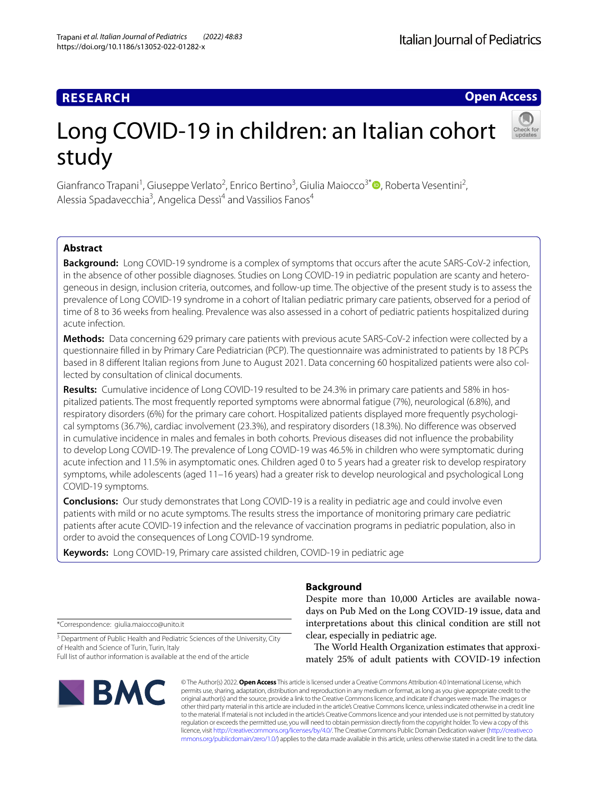# **RESEARCH**

**Open Access**

# Long COVID-19 in children: an Italian cohort study

Gianfranco Trapani<sup>1</sup>[,](http://orcid.org/0000-0002-4889-1661) Giuseppe Verlato<sup>2</sup>, Enrico Bertino<sup>3</sup>, Giulia Maiocco<sup>3\*</sup><sup>®</sup>, Roberta Vesentini<sup>2</sup>, Alessia Spadavecchia<sup>3</sup>, Angelica Dessi<sup>4</sup> and Vassilios Fanos<sup>4</sup>

# **Abstract**

**Background:** Long COVID-19 syndrome is a complex of symptoms that occurs after the acute SARS-CoV-2 infection, in the absence of other possible diagnoses. Studies on Long COVID-19 in pediatric population are scanty and heterogeneous in design, inclusion criteria, outcomes, and follow-up time. The objective of the present study is to assess the prevalence of Long COVID-19 syndrome in a cohort of Italian pediatric primary care patients, observed for a period of time of 8 to 36 weeks from healing. Prevalence was also assessed in a cohort of pediatric patients hospitalized during acute infection.

**Methods:** Data concerning 629 primary care patients with previous acute SARS-CoV-2 infection were collected by a questionnaire flled in by Primary Care Pediatrician (PCP). The questionnaire was administrated to patients by 18 PCPs based in 8 diferent Italian regions from June to August 2021. Data concerning 60 hospitalized patients were also collected by consultation of clinical documents.

**Results:** Cumulative incidence of Long COVID-19 resulted to be 24.3% in primary care patients and 58% in hospitalized patients. The most frequently reported symptoms were abnormal fatigue (7%), neurological (6.8%), and respiratory disorders (6%) for the primary care cohort. Hospitalized patients displayed more frequently psychological symptoms (36.7%), cardiac involvement (23.3%), and respiratory disorders (18.3%). No diference was observed in cumulative incidence in males and females in both cohorts. Previous diseases did not infuence the probability to develop Long COVID-19. The prevalence of Long COVID-19 was 46.5% in children who were symptomatic during acute infection and 11.5% in asymptomatic ones. Children aged 0 to 5 years had a greater risk to develop respiratory symptoms, while adolescents (aged 11–16 years) had a greater risk to develop neurological and psychological Long COVID-19 symptoms.

**Conclusions:** Our study demonstrates that Long COVID-19 is a reality in pediatric age and could involve even patients with mild or no acute symptoms. The results stress the importance of monitoring primary care pediatric patients after acute COVID-19 infection and the relevance of vaccination programs in pediatric population, also in order to avoid the consequences of Long COVID-19 syndrome.

**Keywords:** Long COVID-19, Primary care assisted children, COVID-19 in pediatric age

# **Background**

Despite more than 10,000 Articles are available nowadays on Pub Med on the Long COVID-19 issue, data and interpretations about this clinical condition are still not clear, especially in pediatric age.

The World Health Organization estimates that approximately 25% of adult patients with COVID-19 infection

© The Author(s) 2022. **Open Access** This article is licensed under a Creative Commons Attribution 4.0 International License, which permits use, sharing, adaptation, distribution and reproduction in any medium or format, as long as you give appropriate credit to the original author(s) and the source, provide a link to the Creative Commons licence, and indicate if changes were made. The images or other third party material in this article are included in the article's Creative Commons licence, unless indicated otherwise in a credit line to the material. If material is not included in the article's Creative Commons licence and your intended use is not permitted by statutory regulation or exceeds the permitted use, you will need to obtain permission directly from the copyright holder. To view a copy of this licence, visit [http://creativecommons.org/licenses/by/4.0/.](http://creativecommons.org/licenses/by/4.0/) The Creative Commons Public Domain Dedication waiver ([http://creativeco](http://creativecommons.org/publicdomain/zero/1.0/) [mmons.org/publicdomain/zero/1.0/](http://creativecommons.org/publicdomain/zero/1.0/)) applies to the data made available in this article, unless otherwise stated in a credit line to the data.

\*Correspondence: giulia.maiocco@unito.it

<sup>3</sup> Department of Public Health and Pediatric Sciences of the University, City of Health and Science of Turin, Turin, Italy Full list of author information is available at the end of the article

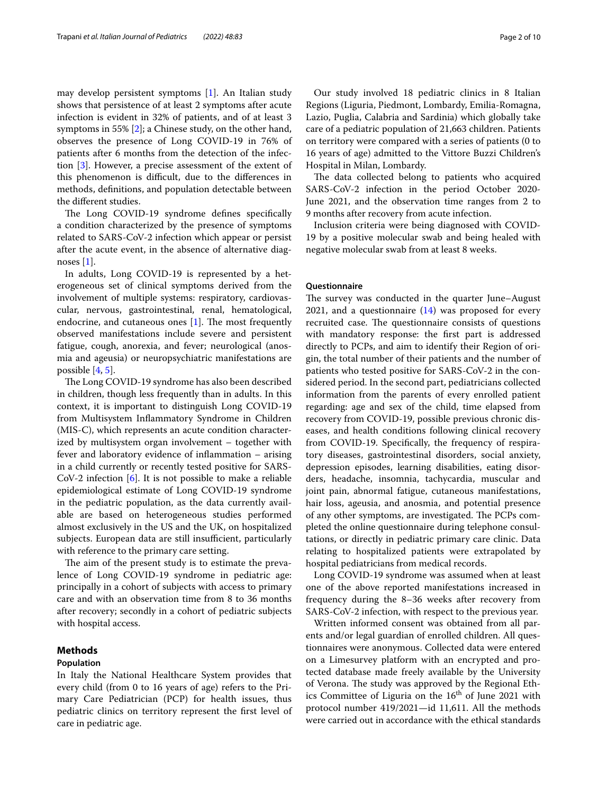may develop persistent symptoms [\[1](#page-9-0)]. An Italian study shows that persistence of at least 2 symptoms after acute infection is evident in 32% of patients, and of at least 3 symptoms in 55% [[2\]](#page-9-1); a Chinese study, on the other hand, observes the presence of Long COVID-19 in 76% of patients after 6 months from the detection of the infection [[3\]](#page-9-2). However, a precise assessment of the extent of this phenomenon is difficult, due to the differences in methods, defnitions, and population detectable between the diferent studies.

The Long COVID-19 syndrome defines specifically a condition characterized by the presence of symptoms related to SARS-CoV-2 infection which appear or persist after the acute event, in the absence of alternative diagnoses [\[1\]](#page-9-0).

In adults, Long COVID-19 is represented by a heterogeneous set of clinical symptoms derived from the involvement of multiple systems: respiratory, cardiovascular, nervous, gastrointestinal, renal, hematological, endocrine, and cutaneous ones  $[1]$  $[1]$ . The most frequently observed manifestations include severe and persistent fatigue, cough, anorexia, and fever; neurological (anosmia and ageusia) or neuropsychiatric manifestations are possible [\[4](#page-9-3), [5\]](#page-9-4).

The Long COVID-19 syndrome has also been described in children, though less frequently than in adults. In this context, it is important to distinguish Long COVID-19 from Multisystem Infammatory Syndrome in Children (MIS-C), which represents an acute condition characterized by multisystem organ involvement – together with fever and laboratory evidence of infammation – arising in a child currently or recently tested positive for SARS-CoV-2 infection [\[6](#page-9-5)]. It is not possible to make a reliable epidemiological estimate of Long COVID-19 syndrome in the pediatric population, as the data currently available are based on heterogeneous studies performed almost exclusively in the US and the UK, on hospitalized subjects. European data are still insufficient, particularly with reference to the primary care setting.

The aim of the present study is to estimate the prevalence of Long COVID-19 syndrome in pediatric age: principally in a cohort of subjects with access to primary care and with an observation time from 8 to 36 months after recovery; secondly in a cohort of pediatric subjects with hospital access.

# **Methods**

## **Population**

In Italy the National Healthcare System provides that every child (from 0 to 16 years of age) refers to the Primary Care Pediatrician (PCP) for health issues, thus pediatric clinics on territory represent the frst level of care in pediatric age.

Our study involved 18 pediatric clinics in 8 Italian Regions (Liguria, Piedmont, Lombardy, Emilia-Romagna, Lazio, Puglia, Calabria and Sardinia) which globally take care of a pediatric population of 21,663 children. Patients on territory were compared with a series of patients (0 to 16 years of age) admitted to the Vittore Buzzi Children's Hospital in Milan, Lombardy.

The data collected belong to patients who acquired SARS-CoV-2 infection in the period October 2020- June 2021, and the observation time ranges from 2 to 9 months after recovery from acute infection.

Inclusion criteria were being diagnosed with COVID-19 by a positive molecular swab and being healed with negative molecular swab from at least 8 weeks.

# **Questionnaire**

The survey was conducted in the quarter June–August 2021, and a questionnaire  $(14)$  $(14)$  $(14)$  was proposed for every recruited case. The questionnaire consists of questions with mandatory response: the frst part is addressed directly to PCPs, and aim to identify their Region of origin, the total number of their patients and the number of patients who tested positive for SARS-CoV-2 in the considered period. In the second part, pediatricians collected information from the parents of every enrolled patient regarding: age and sex of the child, time elapsed from recovery from COVID-19, possible previous chronic diseases, and health conditions following clinical recovery from COVID-19. Specifcally, the frequency of respiratory diseases, gastrointestinal disorders, social anxiety, depression episodes, learning disabilities, eating disorders, headache, insomnia, tachycardia, muscular and joint pain, abnormal fatigue, cutaneous manifestations, hair loss, ageusia, and anosmia, and potential presence of any other symptoms, are investigated. The PCPs completed the online questionnaire during telephone consultations, or directly in pediatric primary care clinic. Data relating to hospitalized patients were extrapolated by hospital pediatricians from medical records.

Long COVID-19 syndrome was assumed when at least one of the above reported manifestations increased in frequency during the 8–36 weeks after recovery from SARS-CoV-2 infection, with respect to the previous year.

Written informed consent was obtained from all parents and/or legal guardian of enrolled children. All questionnaires were anonymous. Collected data were entered on a Limesurvey platform with an encrypted and protected database made freely available by the University of Verona. The study was approved by the Regional Ethics Committee of Liguria on the  $16<sup>th</sup>$  of June 2021 with protocol number 419/2021—id 11,611. All the methods were carried out in accordance with the ethical standards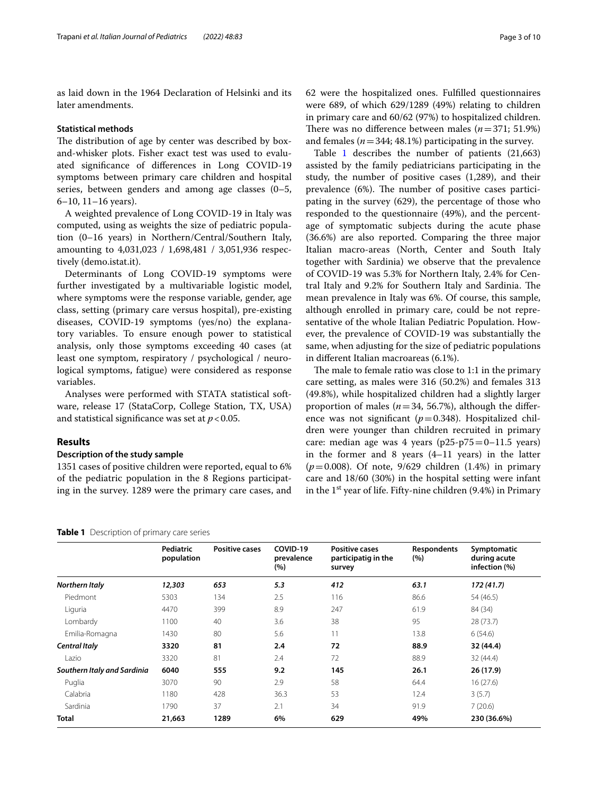as laid down in the 1964 Declaration of Helsinki and its later amendments.

#### **Statistical methods**

The distribution of age by center was described by boxand-whisker plots. Fisher exact test was used to evaluated signifcance of diferences in Long COVID-19 symptoms between primary care children and hospital series, between genders and among age classes (0–5, 6–10, 11–16 years).

A weighted prevalence of Long COVID-19 in Italy was computed, using as weights the size of pediatric population (0–16 years) in Northern/Central/Southern Italy, amounting to 4,031,023 / 1,698,481 / 3,051,936 respectively (demo.istat.it).

Determinants of Long COVID-19 symptoms were further investigated by a multivariable logistic model, where symptoms were the response variable, gender, age class, setting (primary care versus hospital), pre-existing diseases, COVID-19 symptoms (yes/no) the explanatory variables. To ensure enough power to statistical analysis, only those symptoms exceeding 40 cases (at least one symptom, respiratory / psychological / neurological symptoms, fatigue) were considered as response variables.

Analyses were performed with STATA statistical software, release 17 (StataCorp, College Station, TX, USA) and statistical significance was set at  $p < 0.05$ .

# **Results**

#### **Description of the study sample**

1351 cases of positive children were reported, equal to 6% of the pediatric population in the 8 Regions participating in the survey. 1289 were the primary care cases, and 62 were the hospitalized ones. Fulflled questionnaires were 689, of which 629/1289 (49%) relating to children in primary care and 60/62 (97%) to hospitalized children. There was no difference between males  $(n=371; 51.9%)$ and females ( $n=344$ ; 48.1%) participating in the survey.

Table [1](#page-2-0) describes the number of patients  $(21,663)$ assisted by the family pediatricians participating in the study, the number of positive cases (1,289), and their prevalence (6%). The number of positive cases participating in the survey (629), the percentage of those who responded to the questionnaire (49%), and the percentage of symptomatic subjects during the acute phase (36.6%) are also reported. Comparing the three major Italian macro-areas (North, Center and South Italy together with Sardinia) we observe that the prevalence of COVID-19 was 5.3% for Northern Italy, 2.4% for Central Italy and 9.2% for Southern Italy and Sardinia. The mean prevalence in Italy was 6%. Of course, this sample, although enrolled in primary care, could be not representative of the whole Italian Pediatric Population. However, the prevalence of COVID-19 was substantially the same, when adjusting for the size of pediatric populations in diferent Italian macroareas (6.1%).

The male to female ratio was close to  $1:1$  in the primary care setting, as males were 316 (50.2%) and females 313 (49.8%), while hospitalized children had a slightly larger proportion of males ( $n=34$ , 56.7%), although the difference was not significant  $(p=0.348)$ . Hospitalized children were younger than children recruited in primary care: median age was 4 years ( $p25-p75=0-11.5$  years) in the former and 8 years (4–11 years) in the latter (*p*=0.008). Of note, 9/629 children (1.4%) in primary care and 18/60 (30%) in the hospital setting were infant in the  $1<sup>st</sup>$  year of life. Fifty-nine children (9.4%) in Primary

|                             | Pediatric<br>population | <b>Positive cases</b> | COVID-19<br>prevalence<br>(%) | <b>Positive cases</b><br>participatig in the<br>survey | <b>Respondents</b><br>(%) | Symptomatic<br>during acute<br>infection (%) |
|-----------------------------|-------------------------|-----------------------|-------------------------------|--------------------------------------------------------|---------------------------|----------------------------------------------|
| Northern Italy              | 12,303                  | 653                   | 5.3                           | 412                                                    | 63.1                      | 172(41.7)                                    |
| Piedmont                    | 5303                    | 134                   | 2.5                           | 116                                                    | 86.6                      | 54 (46.5)                                    |
| Liguria                     | 4470                    | 399                   | 8.9                           | 247                                                    | 61.9                      | 84 (34)                                      |
| Lombardy                    | 1100                    | 40                    | 3.6                           | 38                                                     | 95                        | 28 (73.7)                                    |
| Emilia-Romagna              | 1430                    | 80                    | 5.6                           | 11                                                     | 13.8                      | 6(54.6)                                      |
| <b>Central Italy</b>        | 3320                    | 81                    | 2.4                           | 72                                                     | 88.9                      | 32 (44.4)                                    |
| Lazio                       | 3320                    | 81                    | 2.4                           | 72                                                     | 88.9                      | 32(44.4)                                     |
| Southern Italy and Sardinia | 6040                    | 555                   | 9.2                           | 145                                                    | 26.1                      | 26 (17.9)                                    |
| Puglia                      | 3070                    | 90                    | 2.9                           | 58                                                     | 64.4                      | 16(27.6)                                     |
| Calabria                    | 1180                    | 428                   | 36.3                          | 53                                                     | 12.4                      | 3(5.7)                                       |
| Sardinia                    | 1790                    | 37                    | 2.1                           | 34                                                     | 91.9                      | 7(20.6)                                      |
| <b>Total</b>                | 21,663                  | 1289                  | 6%                            | 629                                                    | 49%                       | 230 (36.6%)                                  |

<span id="page-2-0"></span>**Table 1** Description of primary care series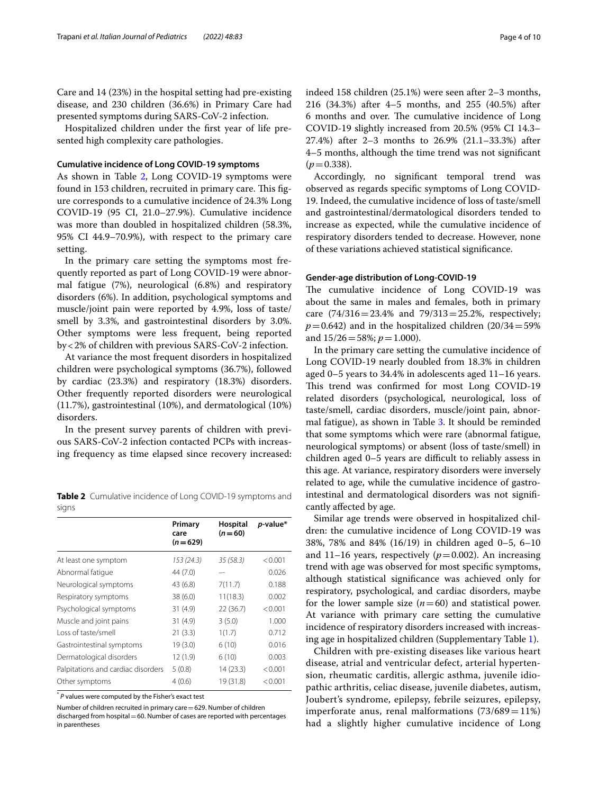Care and 14 (23%) in the hospital setting had pre-existing disease, and 230 children (36.6%) in Primary Care had presented symptoms during SARS-CoV-2 infection.

Hospitalized children under the frst year of life presented high complexity care pathologies.

## **Cumulative incidence of Long COVID-19 symptoms**

As shown in Table [2,](#page-3-0) Long COVID-19 symptoms were found in 153 children, recruited in primary care. This figure corresponds to a cumulative incidence of 24.3% Long COVID-19 (95 CI, 21.0–27.9%). Cumulative incidence was more than doubled in hospitalized children (58.3%, 95% CI 44.9–70.9%), with respect to the primary care setting.

In the primary care setting the symptoms most frequently reported as part of Long COVID-19 were abnormal fatigue (7%), neurological (6.8%) and respiratory disorders (6%). In addition, psychological symptoms and muscle/joint pain were reported by 4.9%, loss of taste/ smell by 3.3%, and gastrointestinal disorders by 3.0%. Other symptoms were less frequent, being reported by<2% of children with previous SARS-CoV-2 infection.

At variance the most frequent disorders in hospitalized children were psychological symptoms (36.7%), followed by cardiac (23.3%) and respiratory (18.3%) disorders. Other frequently reported disorders were neurological (11.7%), gastrointestinal (10%), and dermatological (10%) disorders.

In the present survey parents of children with previous SARS-CoV-2 infection contacted PCPs with increasing frequency as time elapsed since recovery increased:

<span id="page-3-0"></span>**Table 2** Cumulative incidence of Long COVID-19 symptoms and signs

|                                    | Primary<br>care<br>$(n=629)$ | Hospital<br>$(n=60)$ | p-value* |
|------------------------------------|------------------------------|----------------------|----------|
| At least one symptom               | 153(24.3)                    | 35(58.3)             | < 0.001  |
| Abnormal fatique                   | 44 (7.0)                     |                      | 0.026    |
| Neurological symptoms              | 43 (6.8)                     | 7(11.7)              | 0.188    |
| Respiratory symptoms               | 38(6.0)                      | 11(18.3)             | 0.002    |
| Psychological symptoms             | 31(4.9)                      | 22(36.7)             | < 0.001  |
| Muscle and joint pains             | 31(4.9)                      | 3(5.0)               | 1.000    |
| Loss of taste/smell                | 21(3.3)                      | 1(1.7)               | 0.712    |
| Gastrointestinal symptoms          | 19 (3.0)                     | 6(10)                | 0.016    |
| Dermatological disorders           | 12 (1.9)                     | 6(10)                | 0.003    |
| Palpitations and cardiac disorders | 5(0.8)                       | 14(23.3)             | < 0.001  |
| Other symptoms                     | 4(0.6)                       | 19 (31.8)            | < 0.001  |

\* *P* values were computed by the Fisher's exact test

Number of children recruited in primary care=629. Number of children discharged from hospital = 60. Number of cases are reported with percentages in parentheses

indeed 158 children (25.1%) were seen after 2–3 months, 216 (34.3%) after 4–5 months, and 255 (40.5%) after 6 months and over. The cumulative incidence of Long COVID-19 slightly increased from 20.5% (95% CI 14.3– 27.4%) after 2–3 months to 26.9% (21.1–33.3%) after 4–5 months, although the time trend was not signifcant  $(p=0.338)$ .

Accordingly, no signifcant temporal trend was observed as regards specifc symptoms of Long COVID-19. Indeed, the cumulative incidence of loss of taste/smell and gastrointestinal/dermatological disorders tended to increase as expected, while the cumulative incidence of respiratory disorders tended to decrease. However, none of these variations achieved statistical signifcance.

# **Gender-age distribution of Long-COVID-19**

The cumulative incidence of Long COVID-19 was about the same in males and females, both in primary care  $(74/316=23.4\%$  and  $79/313=25.2\%$ , respectively;  $p=0.642$ ) and in the hospitalized children (20/34=59%) and 15/26=58%; *p*=1.000).

In the primary care setting the cumulative incidence of Long COVID-19 nearly doubled from 18.3% in children aged 0–5 years to 34.4% in adolescents aged 11–16 years. This trend was confirmed for most Long COVID-19 related disorders (psychological, neurological, loss of taste/smell, cardiac disorders, muscle/joint pain, abnormal fatigue), as shown in Table [3](#page-4-0). It should be reminded that some symptoms which were rare (abnormal fatigue, neurological symptoms) or absent (loss of taste/smell) in children aged 0-5 years are difficult to reliably assess in this age. At variance, respiratory disorders were inversely related to age, while the cumulative incidence of gastrointestinal and dermatological disorders was not signifcantly afected by age.

Similar age trends were observed in hospitalized children: the cumulative incidence of Long COVID-19 was 38%, 78% and 84% (16/19) in children aged 0–5, 6–10 and 11–16 years, respectively  $(p=0.002)$ . An increasing trend with age was observed for most specifc symptoms, although statistical signifcance was achieved only for respiratory, psychological, and cardiac disorders, maybe for the lower sample size  $(n=60)$  and statistical power. At variance with primary care setting the cumulative incidence of respiratory disorders increased with increasing age in hospitalized children (Supplementary Table [1](#page-8-1)).

Children with pre-existing diseases like various heart disease, atrial and ventricular defect, arterial hypertension, rheumatic carditis, allergic asthma, juvenile idiopathic arthritis, celiac disease, juvenile diabetes, autism, Joubert's syndrome, epilepsy, febrile seizures, epilepsy, imperforate anus, renal malformations  $(73/689=11%)$ had a slightly higher cumulative incidence of Long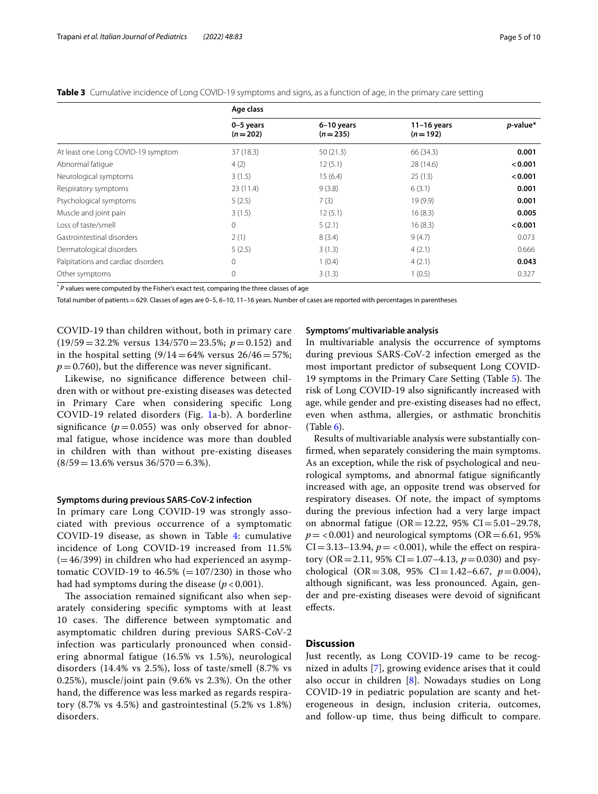<span id="page-4-0"></span>

|                                    | Age class              |                         |                            |          |
|------------------------------------|------------------------|-------------------------|----------------------------|----------|
|                                    | 0-5 years<br>$(n=202)$ | 6-10 years<br>$(n=235)$ | $11-16$ years<br>$(n=192)$ | p-value* |
| At least one Long COVID-19 symptom | 37(18.3)               | 50(21.3)                | 66 (34.3)                  | 0.001    |
| Abnormal fatique                   | 4(2)                   | 12(5.1)                 | 28 (14.6)                  | < 0.001  |
| Neurological symptoms              | 3(1.5)                 | 15(6.4)                 | 25(13)                     | < 0.001  |
| Respiratory symptoms               | 23(11.4)               | 9(3.8)                  | 6(3.1)                     | 0.001    |
| Psychological symptoms             | 5(2.5)                 | 7(3)                    | 19(9.9)                    | 0.001    |
| Muscle and joint pain              | 3(1.5)                 | 12(5.1)                 | 16(8.3)                    | 0.005    |
| Loss of taste/smell                | $\Omega$               | 5(2.1)                  | 16(8.3)                    | < 0.001  |
| Gastrointestinal disorders         | 2(1)                   | 8(3.4)                  | 9(4.7)                     | 0.073    |
| Dermatological disorders           | 5(2.5)                 | 3(1.3)                  | 4(2.1)                     | 0.666    |
| Palpitations and cardiac disorders | $\Omega$               | 1(0.4)                  | 4(2.1)                     | 0.043    |
| Other symptoms                     | 0                      | 3(1.3)                  | 1(0.5)                     | 0.327    |

\* *P* values were computed by the Fisher's exact test, comparing the three classes of age

Total number of patients = 629. Classes of ages are 0-5, 6-10, 11-16 years. Number of cases are reported with percentages in parentheses

COVID-19 than children without, both in primary care (19/59=32.2% versus 134/570=23.5%; *p*=0.152) and in the hospital setting  $(9/14=64\%$  versus  $26/46=57\%$ ;  $p=0.760$ , but the difference was never significant.

Likewise, no signifcance diference between children with or without pre-existing diseases was detected in Primary Care when considering specifc Long COVID-19 related disorders (Fig. [1a](#page-5-0)-b). A borderline significance  $(p=0.055)$  was only observed for abnormal fatigue, whose incidence was more than doubled in children with than without pre-existing diseases  $(8/59=13.6\%$  versus  $36/570=6.3\%).$ 

#### **Symptoms during previous SARS-CoV-2 infection**

In primary care Long COVID-19 was strongly associated with previous occurrence of a symptomatic COVID-19 disease, as shown in Table [4](#page-6-0): cumulative incidence of Long COVID-19 increased from 11.5%  $(=46/399)$  in children who had experienced an asymptomatic COVID-19 to  $46.5\%$  (=107/230) in those who had had symptoms during the disease  $(p < 0.001)$ .

The association remained significant also when separately considering specifc symptoms with at least 10 cases. The difference between symptomatic and asymptomatic children during previous SARS-CoV-2 infection was particularly pronounced when considering abnormal fatigue (16.5% vs 1.5%), neurological disorders (14.4% vs 2.5%), loss of taste/smell (8.7% vs 0.25%), muscle/joint pain (9.6% vs 2.3%). On the other hand, the diference was less marked as regards respiratory (8.7% vs 4.5%) and gastrointestinal (5.2% vs 1.8%) disorders.

# **Symptoms' multivariable analysis**

In multivariable analysis the occurrence of symptoms during previous SARS-CoV-2 infection emerged as the most important predictor of subsequent Long COVID-19 symptoms in the Primary Care Setting (Table [5\)](#page-7-0). The risk of Long COVID-19 also signifcantly increased with age, while gender and pre-existing diseases had no efect, even when asthma, allergies, or asthmatic bronchitis (Table [6\)](#page-8-2).

Results of multivariable analysis were substantially confrmed, when separately considering the main symptoms. As an exception, while the risk of psychological and neurological symptoms, and abnormal fatigue signifcantly increased with age, an opposite trend was observed for respiratory diseases. Of note, the impact of symptoms during the previous infection had a very large impact on abnormal fatigue (OR=12.22, 95% CI=5.01-29.78,  $p =$  <0.001) and neurological symptoms (OR=6.61, 95%)  $CI = 3.13-13.94$ ,  $p = <0.001$ ), while the effect on respiratory (OR = 2.11, 95% CI = 1.07–4.13,  $p = 0.030$ ) and psychological  $(OR = 3.08, 95\% \text{ CI} = 1.42 - 6.67, p = 0.004)$ , although signifcant, was less pronounced. Again, gender and pre-existing diseases were devoid of signifcant efects.

# **Discussion**

Just recently, as Long COVID-19 came to be recognized in adults [\[7](#page-9-6)], growing evidence arises that it could also occur in children [[8](#page-9-7)]. Nowadays studies on Long COVID-19 in pediatric population are scanty and heterogeneous in design, inclusion criteria, outcomes, and follow-up time, thus being difficult to compare.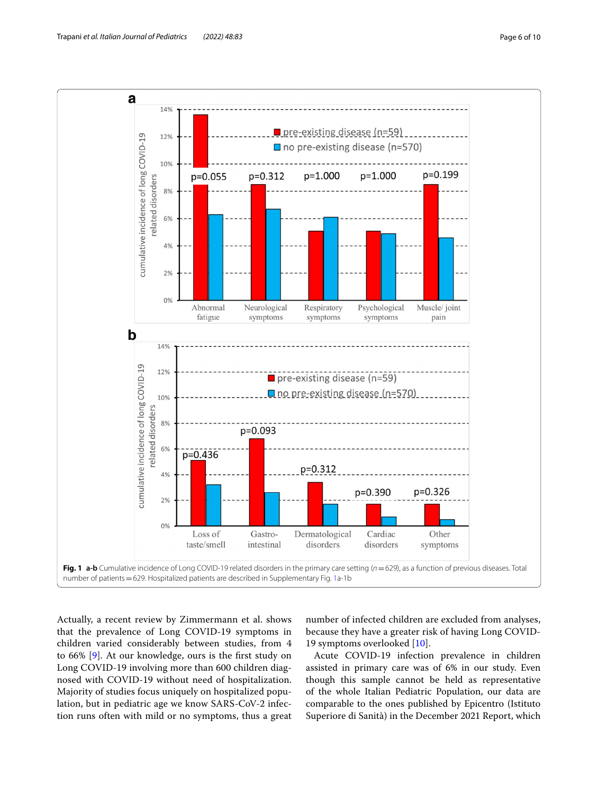

<span id="page-5-0"></span>Actually, a recent review by Zimmermann et al. shows that the prevalence of Long COVID-19 symptoms in children varied considerably between studies, from 4 to 66% [[9\]](#page-9-8). At our knowledge, ours is the frst study on Long COVID-19 involving more than 600 children diagnosed with COVID-19 without need of hospitalization. Majority of studies focus uniquely on hospitalized population, but in pediatric age we know SARS-CoV-2 infection runs often with mild or no symptoms, thus a great number of infected children are excluded from analyses, because they have a greater risk of having Long COVID-19 symptoms overlooked [[10\]](#page-9-9).

Acute COVID-19 infection prevalence in children assisted in primary care was of 6% in our study. Even though this sample cannot be held as representative of the whole Italian Pediatric Population, our data are comparable to the ones published by Epicentro (Istituto Superiore di Sanità) in the December 2021 Report, which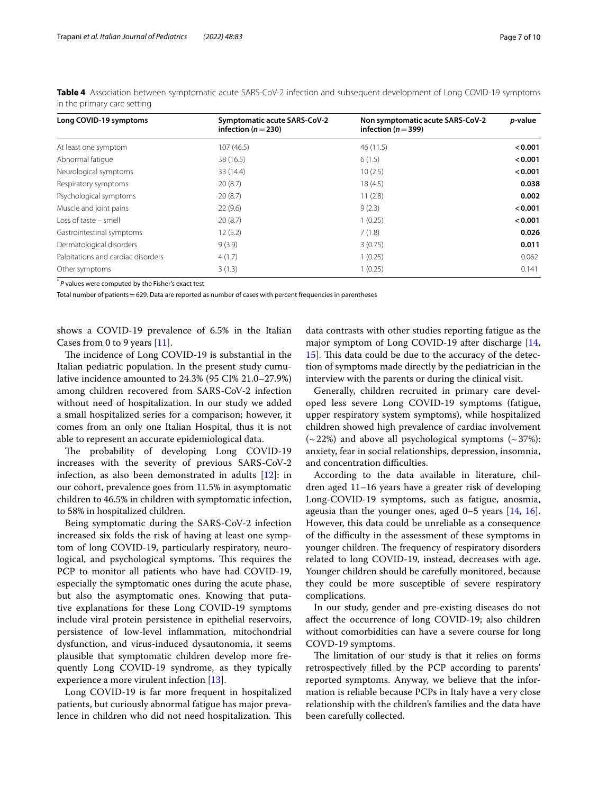| Long COVID-19 symptoms             | Symptomatic acute SARS-CoV-2<br>infection ( $n = 230$ ) | Non symptomatic acute SARS-CoV-2<br>infection ( $n = 399$ ) | <i>p</i> -value |
|------------------------------------|---------------------------------------------------------|-------------------------------------------------------------|-----------------|
| At least one symptom               | 107(46.5)                                               | 46 (11.5)                                                   | < 0.001         |
| Abnormal fatique                   | 38 (16.5)                                               | 6(1.5)                                                      | < 0.001         |
| Neurological symptoms              | 33(14.4)                                                | 10(2.5)                                                     | < 0.001         |
| Respiratory symptoms               | 20(8.7)                                                 | 18(4.5)                                                     | 0.038           |
| Psychological symptoms             | 20(8.7)                                                 | 11(2.8)                                                     | 0.002           |
| Muscle and joint pains             | 22(9.6)                                                 | 9(2.3)                                                      | < 0.001         |
| Loss of taste – smell              | 20(8.7)                                                 | 1(0.25)                                                     | < 0.001         |
| Gastrointestinal symptoms          | 12(5.2)                                                 | 7(1.8)                                                      | 0.026           |
| Dermatological disorders           | 9(3.9)                                                  | 3(0.75)                                                     | 0.011           |
| Palpitations and cardiac disorders | 4(1.7)                                                  | 1(0.25)                                                     | 0.062           |
| Other symptoms                     | 3(1.3)                                                  | 1(0.25)                                                     | 0.141           |

<span id="page-6-0"></span>**Table 4** Association between symptomatic acute SARS-CoV-2 infection and subsequent development of Long COVID-19 symptoms in the primary care setting

\* *P* values were computed by the Fisher's exact test

Total number of patients = 629. Data are reported as number of cases with percent frequencies in parentheses

shows a COVID-19 prevalence of 6.5% in the Italian Cases from 0 to 9 years [[11](#page-9-10)].

The incidence of Long COVID-19 is substantial in the Italian pediatric population. In the present study cumulative incidence amounted to 24.3% (95 CI% 21.0–27.9%) among children recovered from SARS-CoV-2 infection without need of hospitalization. In our study we added a small hospitalized series for a comparison; however, it comes from an only one Italian Hospital, thus it is not able to represent an accurate epidemiological data.

The probability of developing Long COVID-19 increases with the severity of previous SARS-CoV-2 infection, as also been demonstrated in adults  $[12]$  $[12]$ : in our cohort, prevalence goes from 11.5% in asymptomatic children to 46.5% in children with symptomatic infection, to 58% in hospitalized children.

Being symptomatic during the SARS-CoV-2 infection increased six folds the risk of having at least one symptom of long COVID-19, particularly respiratory, neurological, and psychological symptoms. This requires the PCP to monitor all patients who have had COVID-19, especially the symptomatic ones during the acute phase, but also the asymptomatic ones. Knowing that putative explanations for these Long COVID-19 symptoms include viral protein persistence in epithelial reservoirs, persistence of low-level infammation, mitochondrial dysfunction, and virus-induced dysautonomia, it seems plausible that symptomatic children develop more frequently Long COVID-19 syndrome, as they typically experience a more virulent infection [\[13\]](#page-9-12).

Long COVID-19 is far more frequent in hospitalized patients, but curiously abnormal fatigue has major prevalence in children who did not need hospitalization. This

data contrasts with other studies reporting fatigue as the major symptom of Long COVID-19 after discharge [[14](#page-9-13), [15\]](#page-9-14). This data could be due to the accuracy of the detection of symptoms made directly by the pediatrician in the interview with the parents or during the clinical visit.

Generally, children recruited in primary care developed less severe Long COVID-19 symptoms (fatigue, upper respiratory system symptoms), while hospitalized children showed high prevalence of cardiac involvement  $(-22%)$  and above all psychological symptoms  $(-37%)$ : anxiety, fear in social relationships, depression, insomnia, and concentration difficulties.

According to the data available in literature, children aged 11–16 years have a greater risk of developing Long-COVID-19 symptoms, such as fatigue, anosmia, ageusia than the younger ones, aged  $0-5$  years  $[14, 16]$  $[14, 16]$  $[14, 16]$  $[14, 16]$  $[14, 16]$ . However, this data could be unreliable as a consequence of the difculty in the assessment of these symptoms in younger children. The frequency of respiratory disorders related to long COVID-19, instead, decreases with age. Younger children should be carefully monitored, because they could be more susceptible of severe respiratory complications.

In our study, gender and pre-existing diseases do not afect the occurrence of long COVID-19; also children without comorbidities can have a severe course for long COVD-19 symptoms.

The limitation of our study is that it relies on forms retrospectively flled by the PCP according to parents' reported symptoms. Anyway, we believe that the information is reliable because PCPs in Italy have a very close relationship with the children's families and the data have been carefully collected.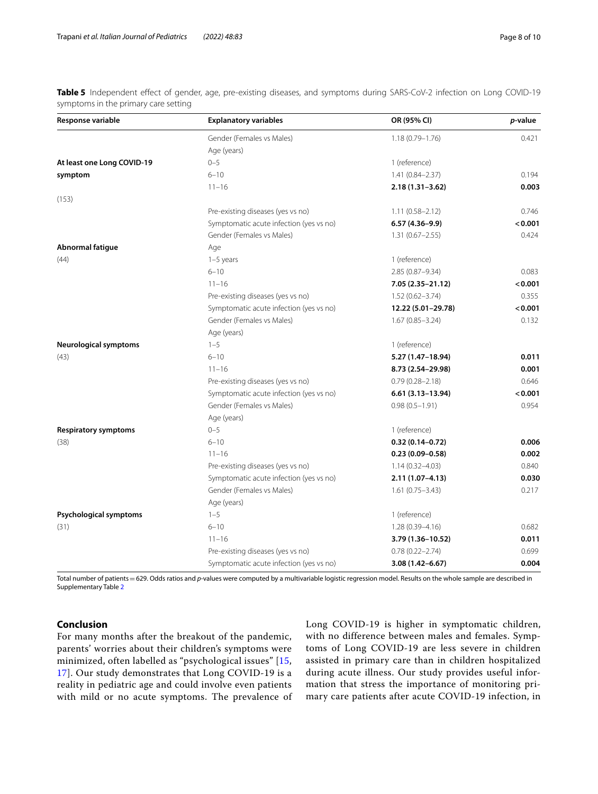<span id="page-7-0"></span>**Table 5** Independent effect of gender, age, pre-existing diseases, and symptoms during SARS-CoV-2 infection on Long COVID-19 symptoms in the primary care setting

| Response variable            | <b>Explanatory variables</b>            | OR (95% CI)          | p-value |
|------------------------------|-----------------------------------------|----------------------|---------|
|                              | Gender (Females vs Males)               | $1.18(0.79 - 1.76)$  | 0.421   |
|                              | Age (years)                             |                      |         |
| At least one Long COVID-19   | $0 - 5$                                 | 1 (reference)        |         |
| symptom                      | $6 - 10$                                | $1.41(0.84 - 2.37)$  | 0.194   |
|                              | $11 - 16$                               | $2.18(1.31 - 3.62)$  | 0.003   |
| (153)                        |                                         |                      |         |
|                              | Pre-existing diseases (yes vs no)       | $1.11(0.58 - 2.12)$  | 0.746   |
|                              | Symptomatic acute infection (yes vs no) | $6.57(4.36 - 9.9)$   | < 0.001 |
|                              | Gender (Females vs Males)               | $1.31(0.67 - 2.55)$  | 0.424   |
| Abnormal fatigue             | Age                                     |                      |         |
| (44)                         | $1-5$ years                             | 1 (reference)        |         |
|                              | $6 - 10$                                | 2.85 (0.87-9.34)     | 0.083   |
|                              | $11 - 16$                               | 7.05 (2.35-21.12)    | < 0.001 |
|                              | Pre-existing diseases (yes vs no)       | $1.52(0.62 - 3.74)$  | 0.355   |
|                              | Symptomatic acute infection (yes vs no) | 12.22 (5.01-29.78)   | < 0.001 |
|                              | Gender (Females vs Males)               | $1.67(0.85 - 3.24)$  | 0.132   |
|                              | Age (years)                             |                      |         |
| <b>Neurological symptoms</b> | $1 - 5$                                 | 1 (reference)        |         |
| (43)                         | $6 - 10$                                | 5.27 (1.47-18.94)    | 0.011   |
|                              | $11 - 16$                               | 8.73 (2.54-29.98)    | 0.001   |
|                              | Pre-existing diseases (yes vs no)       | $0.79(0.28 - 2.18)$  | 0.646   |
|                              | Symptomatic acute infection (yes vs no) | $6.61(3.13 - 13.94)$ | < 0.001 |
|                              | Gender (Females vs Males)               | $0.98(0.5 - 1.91)$   | 0.954   |
|                              | Age (years)                             |                      |         |
| <b>Respiratory symptoms</b>  | $0 - 5$                                 | 1 (reference)        |         |
| (38)                         | $6 - 10$                                | $0.32(0.14 - 0.72)$  | 0.006   |
|                              | $11 - 16$                               | $0.23(0.09 - 0.58)$  | 0.002   |
|                              | Pre-existing diseases (yes vs no)       | $1.14(0.32 - 4.03)$  | 0.840   |
|                              | Symptomatic acute infection (yes vs no) | $2.11(1.07 - 4.13)$  | 0.030   |
|                              | Gender (Females vs Males)               | $1.61(0.75 - 3.43)$  | 0.217   |
|                              | Age (years)                             |                      |         |
| Psychological symptoms       | $1 - 5$                                 | 1 (reference)        |         |
| (31)                         | $6 - 10$                                | $1.28(0.39 - 4.16)$  | 0.682   |
|                              | $11 - 16$                               | 3.79 (1.36-10.52)    | 0.011   |
|                              | Pre-existing diseases (yes vs no)       | $0.78(0.22 - 2.74)$  | 0.699   |
|                              | Symptomatic acute infection (yes vs no) | 3.08 (1.42-6.67)     | 0.004   |

Total number of patients = 629. Odds ratios and p-values were computed by a multivariable logistic regression model. Results on the whole sample are described in Supplementary Table [2](#page-8-1)

# **Conclusion**

For many months after the breakout of the pandemic, parents' worries about their children's symptoms were minimized, often labelled as "psychological issues" [[15](#page-9-14), [17\]](#page-9-16). Our study demonstrates that Long COVID-19 is a reality in pediatric age and could involve even patients with mild or no acute symptoms. The prevalence of Long COVID-19 is higher in symptomatic children, with no difference between males and females. Symptoms of Long COVID-19 are less severe in children assisted in primary care than in children hospitalized during acute illness. Our study provides useful information that stress the importance of monitoring primary care patients after acute COVID-19 infection, in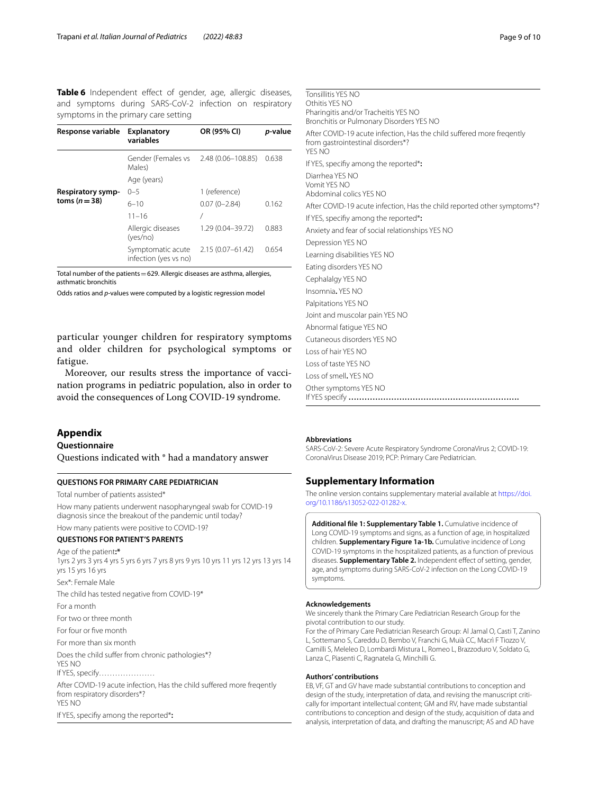<span id="page-8-2"></span>**Table 6** Independent effect of gender, age, allergic diseases, and symptoms during SARS-CoV-2 infection on respiratory symptoms in the primary care setting

| Response variable                  | <b>Explanatory</b><br>variables            | OR (95% CI)        | p-value |
|------------------------------------|--------------------------------------------|--------------------|---------|
|                                    | Gender (Females vs<br>Males)               | 2.48 (0.06-108.85) | 0.638   |
| Respiratory symp-<br>toms $(n=38)$ | Age (years)                                |                    |         |
|                                    | $0 - 5$                                    | 1 (reference)      |         |
|                                    | $6 - 10$                                   | $0.07(0 - 2.84)$   | 0.162   |
|                                    | $11 - 16$                                  |                    |         |
|                                    | Allergic diseases<br>(yes/no)              | 1.29 (0.04-39.72)  | 0.883   |
|                                    | Symptomatic acute<br>infection (yes vs no) | 2.15 (0.07-61.42)  | 0.654   |

Total number of the patients=629. Allergic diseases are asthma, allergies, asthmatic bronchitis

Odds ratios and *p*-values were computed by a logistic regression model

particular younger children for respiratory symptoms and older children for psychological symptoms or fatigue.

Moreover, our results stress the importance of vaccination programs in pediatric population, also in order to avoid the consequences of Long COVID-19 syndrome.

# <span id="page-8-0"></span>**Appendix**

# **Questionnaire**

Questions indicated with \* had a mandatory answer

#### **QUESTIONS FOR PRIMARY CARE PEDIATRICIAN**

Total number of patients assisted\*

How many patients underwent nasopharyngeal swab for COVID-19 diagnosis since the breakout of the pandemic until today? How many patients were positive to COVID-19?

#### **QUESTIONS FOR PATIENT'S PARENTS**

Age of the patient**:\*** 1yrs 2 yrs 3 yrs 4 yrs 5 yrs 6 yrs 7 yrs 8 yrs 9 yrs 10 yrs 11 yrs 12 yrs 13 yrs 14 yrs 15 yrs 16 yrs Sex\*: Female Male The child has tested negative from COVID-19\* For a month For two or three month For four or fve month For more than six month Does the child suffer from chronic pathologies\*? YES NO If YES, specify………………… After COVID-19 acute infection, Has the child sufered more freqently from respiratory disorders\*? YES NO If YES, specify among the reported\***:**

| Tonsillitis YES NO                                                                                                   |
|----------------------------------------------------------------------------------------------------------------------|
| Othitis YFS NO                                                                                                       |
| Pharingitis and/or Tracheitis YES NO<br>Bronchitis or Pulmonary Disorders YES NO                                     |
| After COVID-19 acute infection, Has the child suffered more freqently<br>from gastrointestinal disorders*?<br>YES NO |
| If YES, specifiy among the reported*:                                                                                |
| Diarrhea YFS NO<br>Vomit YFS NO<br>Abdominal colics YES NO                                                           |
| After COVID-19 acute infection, Has the child reported other symptoms*?                                              |
| If YES, specifiy among the reported*:                                                                                |
| Anxiety and fear of social relationships YES NO                                                                      |
| Depression YES NO                                                                                                    |
| Learning disabilities YES NO                                                                                         |
| Eating disorders YES NO                                                                                              |
| Cephalalgy YES NO                                                                                                    |
| Insomnia, YES NO                                                                                                     |
| Palpitations YES NO                                                                                                  |
| Joint and muscolar pain YES NO                                                                                       |
| Abnormal fatique YES NO                                                                                              |
| Cutaneous disorders YES NO                                                                                           |
| Loss of hair YES NO                                                                                                  |
| Loss of taste YES NO                                                                                                 |
| Loss of smell, YES NO                                                                                                |
| Other symptoms YES NO                                                                                                |

#### **Abbreviations**

SARS-CoV-2: Severe Acute Respiratory Syndrome CoronaVirus 2; COVID-19: CoronaVirus Disease 2019; PCP: Primary Care Pediatrician.

# **Supplementary Information**

The online version contains supplementary material available at [https://doi.](https://doi.org/10.1186/s13052-022-01282-x) [org/10.1186/s13052-022-01282-x.](https://doi.org/10.1186/s13052-022-01282-x)

<span id="page-8-1"></span>**Additional fle 1: Supplementary Table 1.** Cumulative incidence of Long COVID-19 symptoms and signs, as a function of age, in hospitalized children. **Supplementary Figure 1a-1b.** Cumulative incidence of Long COVID-19 symptoms in the hospitalized patients, as a function of previous diseases. **Supplementary Table 2.** Independent efect of setting, gender, age, and symptoms during SARS-CoV-2 infection on the Long COVID-19 symptoms.

#### **Acknowledgements**

We sincerely thank the Primary Care Pediatrician Research Group for the pivotal contribution to our study.

For the of Primary Care Pediatrician Research Group: Al Jamal O, Casti T, Zanino L, Sottemano S, Careddu D, Bembo V, Franchi G, Muià CC, Macrì F Tiozzo V, Camilli S, Meleleo D, Lombardi Mistura L, Romeo L, Brazzoduro V, Soldato G, Lanza C, Piasenti C, Ragnatela G, Minchilli G.

#### **Authors' contributions**

EB, VF, GT and GV have made substantial contributions to conception and design of the study, interpretation of data, and revising the manuscript critically for important intellectual content; GM and RV, have made substantial contributions to conception and design of the study, acquisition of data and analysis, interpretation of data, and drafting the manuscript; AS and AD have